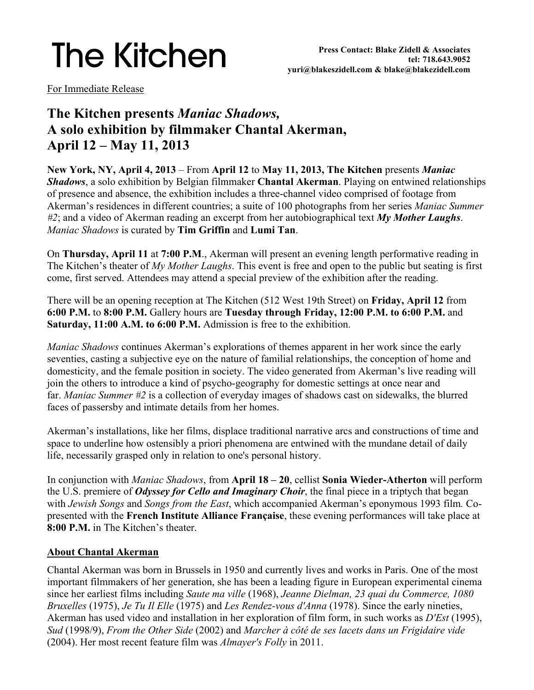# **The Kitchen**

For Immediate Release

# **The Kitchen presents** *Maniac Shadows,* **A solo exhibition by filmmaker Chantal Akerman, April 12 – May 11, 2013**

**New York, NY, April 4, 2013** – From **April 12** to **May 11, 2013, The Kitchen** presents *Maniac Shadows*, a solo exhibition by Belgian filmmaker **Chantal Akerman**. Playing on entwined relationships of presence and absence, the exhibition includes a three-channel video comprised of footage from Akerman's residences in different countries; a suite of 100 photographs from her series *Maniac Summer #2*; and a video of Akerman reading an excerpt from her autobiographical text *My Mother Laughs*. *Maniac Shadows* is curated by **Tim Griffin** and **Lumi Tan**.

On **Thursday, April 11** at **7:00 P.M**., Akerman will present an evening length performative reading in The Kitchen's theater of *My Mother Laughs*. This event is free and open to the public but seating is first come, first served. Attendees may attend a special preview of the exhibition after the reading.

There will be an opening reception at The Kitchen (512 West 19th Street) on **Friday, April 12** from **6:00 P.M.** to **8:00 P.M.** Gallery hours are **Tuesday through Friday, 12:00 P.M. to 6:00 P.M.** and **Saturday, 11:00 A.M. to 6:00 P.M.** Admission is free to the exhibition.

*Maniac Shadows* continues Akerman's explorations of themes apparent in her work since the early seventies, casting a subjective eye on the nature of familial relationships, the conception of home and domesticity, and the female position in society. The video generated from Akerman's live reading will join the others to introduce a kind of psycho-geography for domestic settings at once near and far. *Maniac Summer #2* is a collection of everyday images of shadows cast on sidewalks, the blurred faces of passersby and intimate details from her homes.

Akerman's installations, like her films, displace traditional narrative arcs and constructions of time and space to underline how ostensibly a priori phenomena are entwined with the mundane detail of daily life, necessarily grasped only in relation to one's personal history.

In conjunction with *Maniac Shadows*, from **April 18 – 20**, cellist **Sonia Wieder-Atherton** will perform the U.S. premiere of *Odyssey for Cello and Imaginary Choir*, the final piece in a triptych that began with *Jewish Songs* and *Songs from the East*, which accompanied Akerman's eponymous 1993 film*.* Copresented with the **French Institute Alliance Française**, these evening performances will take place at **8:00 P.M.** in The Kitchen's theater.

#### **About Chantal Akerman**

Chantal Akerman was born in Brussels in 1950 and currently lives and works in Paris. One of the most important filmmakers of her generation, she has been a leading figure in European experimental cinema since her earliest films including *Saute ma ville* (1968), *Jeanne Dielman, 23 quai du Commerce, 1080 Bruxelles* (1975), *Je Tu Il Elle* (1975) and *Les Rendez-vous d'Anna* (1978). Since the early nineties, Akerman has used video and installation in her exploration of film form, in such works as *D'Est* (1995), *Sud* (1998/9), *From the Other Side* (2002) and *Marcher à côté de ses lacets dans un Frigidaire vide*  (2004). Her most recent feature film was *Almayer's Folly* in 2011.